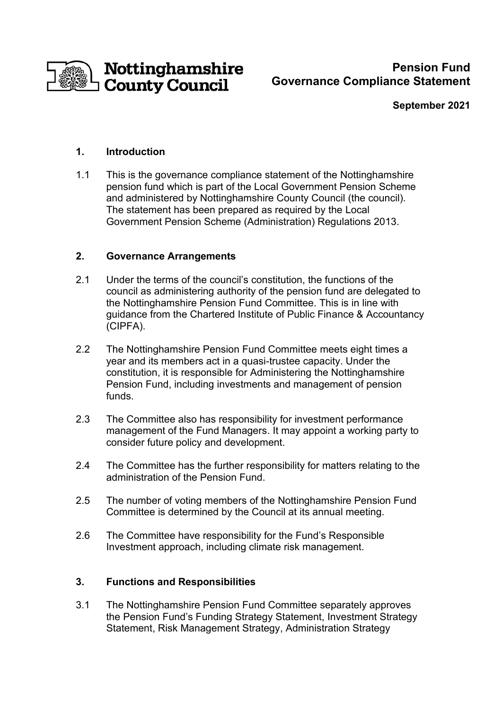

# **Pension Fund Governance Compliance Statement**

#### **September 2021**

## **1. Introduction**

1.1 This is the governance compliance statement of the Nottinghamshire pension fund which is part of the Local Government Pension Scheme and administered by Nottinghamshire County Council (the council). The statement has been prepared as required by the Local Government Pension Scheme (Administration) Regulations 2013.

## **2. Governance Arrangements**

- 2.1 Under the terms of the council's constitution, the functions of the council as administering authority of the pension fund are delegated to the Nottinghamshire Pension Fund Committee. This is in line with guidance from the Chartered Institute of Public Finance & Accountancy (CIPFA).
- 2.2 The Nottinghamshire Pension Fund Committee meets eight times a year and its members act in a quasi-trustee capacity. Under the constitution, it is responsible for Administering the Nottinghamshire Pension Fund, including investments and management of pension funds.
- 2.3 The Committee also has responsibility for investment performance management of the Fund Managers. It may appoint a working party to consider future policy and development.
- 2.4 The Committee has the further responsibility for matters relating to the administration of the Pension Fund.
- 2.5 The number of voting members of the Nottinghamshire Pension Fund Committee is determined by the Council at its annual meeting.
- 2.6 The Committee have responsibility for the Fund's Responsible Investment approach, including climate risk management.

#### **3. Functions and Responsibilities**

3.1 The Nottinghamshire Pension Fund Committee separately approves the Pension Fund's Funding Strategy Statement, Investment Strategy Statement, Risk Management Strategy, Administration Strategy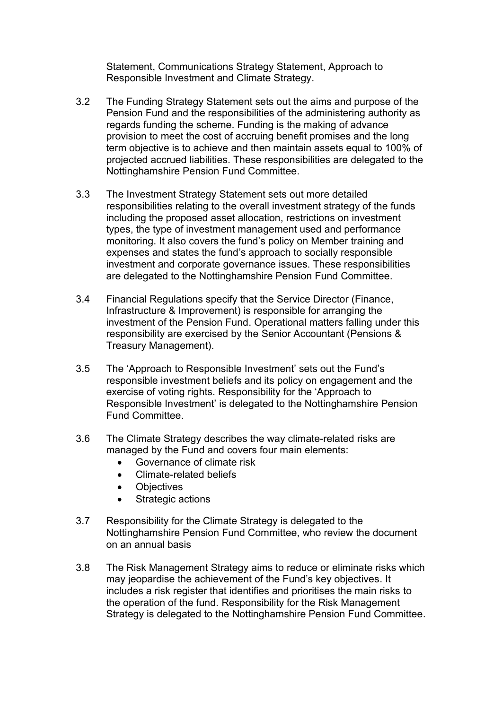Statement, Communications Strategy Statement, Approach to Responsible Investment and Climate Strategy.

- 3.2 The Funding Strategy Statement sets out the aims and purpose of the Pension Fund and the responsibilities of the administering authority as regards funding the scheme. Funding is the making of advance provision to meet the cost of accruing benefit promises and the long term objective is to achieve and then maintain assets equal to 100% of projected accrued liabilities. These responsibilities are delegated to the Nottinghamshire Pension Fund Committee.
- 3.3 The Investment Strategy Statement sets out more detailed responsibilities relating to the overall investment strategy of the funds including the proposed asset allocation, restrictions on investment types, the type of investment management used and performance monitoring. It also covers the fund's policy on Member training and expenses and states the fund's approach to socially responsible investment and corporate governance issues. These responsibilities are delegated to the Nottinghamshire Pension Fund Committee.
- 3.4 Financial Regulations specify that the Service Director (Finance, Infrastructure & Improvement) is responsible for arranging the investment of the Pension Fund. Operational matters falling under this responsibility are exercised by the Senior Accountant (Pensions & Treasury Management).
- 3.5 The 'Approach to Responsible Investment' sets out the Fund's responsible investment beliefs and its policy on engagement and the exercise of voting rights. Responsibility for the 'Approach to Responsible Investment' is delegated to the Nottinghamshire Pension Fund Committee.
- 3.6 The Climate Strategy describes the way climate-related risks are managed by the Fund and covers four main elements:
	- Governance of climate risk
	- Climate-related beliefs
	- Objectives
	- Strategic actions
- 3.7 Responsibility for the Climate Strategy is delegated to the Nottinghamshire Pension Fund Committee, who review the document on an annual basis
- 3.8 The Risk Management Strategy aims to reduce or eliminate risks which may jeopardise the achievement of the Fund's key objectives. It includes a risk register that identifies and prioritises the main risks to the operation of the fund. Responsibility for the Risk Management Strategy is delegated to the Nottinghamshire Pension Fund Committee.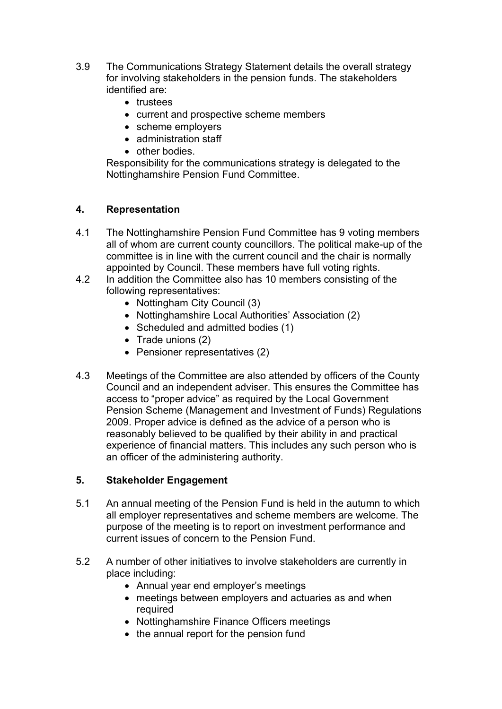- 3.9 The Communications Strategy Statement details the overall strategy for involving stakeholders in the pension funds. The stakeholders identified are:
	- trustees
	- current and prospective scheme members
	- scheme employers
	- administration staff
	- other bodies.

Responsibility for the communications strategy is delegated to the Nottinghamshire Pension Fund Committee.

#### **4. Representation**

- 4.1 The Nottinghamshire Pension Fund Committee has 9 voting members all of whom are current county councillors. The political make-up of the committee is in line with the current council and the chair is normally appointed by Council. These members have full voting rights.
- 4.2 In addition the Committee also has 10 members consisting of the following representatives:
	- Nottingham City Council (3)
	- Nottinghamshire Local Authorities' Association (2)
	- Scheduled and admitted bodies (1)
	- Trade unions (2)
	- Pensioner representatives (2)
- 4.3 Meetings of the Committee are also attended by officers of the County Council and an independent adviser. This ensures the Committee has access to "proper advice" as required by the Local Government Pension Scheme (Management and Investment of Funds) Regulations 2009. Proper advice is defined as the advice of a person who is reasonably believed to be qualified by their ability in and practical experience of financial matters. This includes any such person who is an officer of the administering authority.

#### **5. Stakeholder Engagement**

- 5.1 An annual meeting of the Pension Fund is held in the autumn to which all employer representatives and scheme members are welcome. The purpose of the meeting is to report on investment performance and current issues of concern to the Pension Fund.
- 5.2 A number of other initiatives to involve stakeholders are currently in place including:
	- Annual year end employer's meetings
	- meetings between employers and actuaries as and when required
	- Nottinghamshire Finance Officers meetings
	- the annual report for the pension fund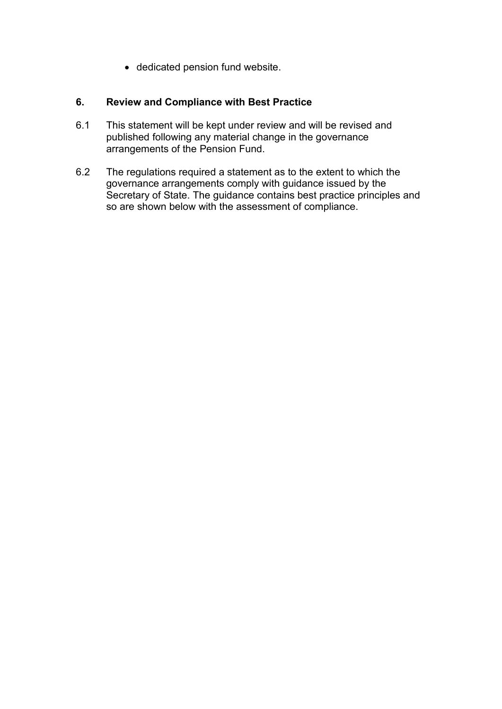• dedicated pension fund website.

## **6. Review and Compliance with Best Practice**

- 6.1 This statement will be kept under review and will be revised and published following any material change in the governance arrangements of the Pension Fund.
- 6.2 The regulations required a statement as to the extent to which the governance arrangements comply with guidance issued by the Secretary of State. The guidance contains best practice principles and so are shown below with the assessment of compliance.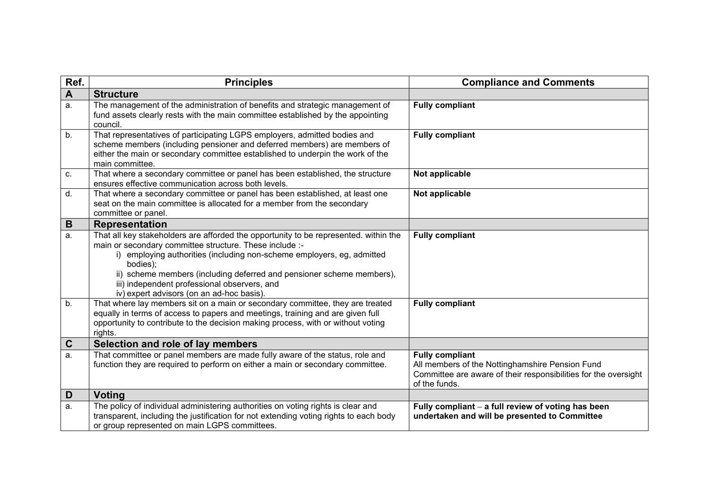| Ref.             | <b>Principles</b>                                                                                                                                                                                                                                                                                                                                                                                          | <b>Compliance and Comments</b>                                                                                                                                |
|------------------|------------------------------------------------------------------------------------------------------------------------------------------------------------------------------------------------------------------------------------------------------------------------------------------------------------------------------------------------------------------------------------------------------------|---------------------------------------------------------------------------------------------------------------------------------------------------------------|
| $\blacktriangle$ | <b>Structure</b>                                                                                                                                                                                                                                                                                                                                                                                           |                                                                                                                                                               |
| a.               | The management of the administration of benefits and strategic management of<br>fund assets clearly rests with the main committee established by the appointing<br>council.                                                                                                                                                                                                                                | <b>Fully compliant</b>                                                                                                                                        |
| b.               | That representatives of participating LGPS employers, admitted bodies and<br>scheme members (including pensioner and deferred members) are members of<br>either the main or secondary committee established to underpin the work of the<br>main committee.                                                                                                                                                 | <b>Fully compliant</b>                                                                                                                                        |
| C.               | That where a secondary committee or panel has been established, the structure<br>ensures effective communication across both levels.                                                                                                                                                                                                                                                                       | Not applicable                                                                                                                                                |
| d.               | That where a secondary committee or panel has been established, at least one<br>seat on the main committee is allocated for a member from the secondary<br>committee or panel.                                                                                                                                                                                                                             | Not applicable                                                                                                                                                |
| B                | <b>Representation</b>                                                                                                                                                                                                                                                                                                                                                                                      |                                                                                                                                                               |
| a.               | That all key stakeholders are afforded the opportunity to be represented. within the<br>main or secondary committee structure. These include :-<br>i) employing authorities (including non-scheme employers, eg, admitted<br>bodies);<br>ii) scheme members (including deferred and pensioner scheme members),<br>iii) independent professional observers, and<br>iv) expert advisors (on an ad-hoc basis) | <b>Fully compliant</b>                                                                                                                                        |
| b.               | That where lay members sit on a main or secondary committee, they are treated<br>equally in terms of access to papers and meetings, training and are given full<br>opportunity to contribute to the decision making process, with or without voting<br>rights.                                                                                                                                             | <b>Fully compliant</b>                                                                                                                                        |
| $\mathbf C$      | Selection and role of lay members                                                                                                                                                                                                                                                                                                                                                                          |                                                                                                                                                               |
| a.               | That committee or panel members are made fully aware of the status, role and<br>function they are required to perform on either a main or secondary committee.                                                                                                                                                                                                                                             | <b>Fully compliant</b><br>All members of the Nottinghamshire Pension Fund<br>Committee are aware of their responsibilities for the oversight<br>of the funds. |
| D                | Voting                                                                                                                                                                                                                                                                                                                                                                                                     |                                                                                                                                                               |
| a.               | The policy of individual administering authorities on voting rights is clear and<br>transparent, including the justification for not extending voting rights to each body<br>or group represented on main LGPS committees.                                                                                                                                                                                 | Fully compliant - a full review of voting has been<br>undertaken and will be presented to Committee                                                           |